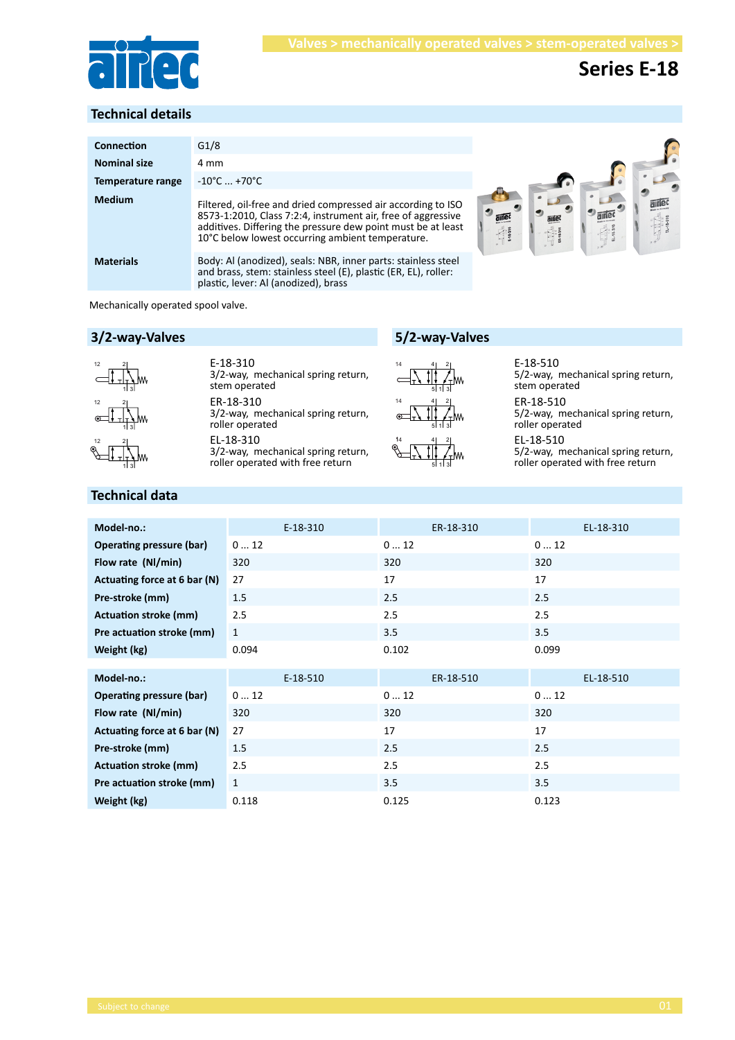

## **Series E-18**

#### **Technical details**

| Connection          | G1/8                                                                                                                                                                                                                                             |               |
|---------------------|--------------------------------------------------------------------------------------------------------------------------------------------------------------------------------------------------------------------------------------------------|---------------|
| <b>Nominal size</b> | 4 mm                                                                                                                                                                                                                                             |               |
| Temperature range   | $-10^{\circ}$ C  +70 $^{\circ}$ C                                                                                                                                                                                                                |               |
| <b>Medium</b>       | Filtered, oil-free and dried compressed air according to ISO<br>8573-1:2010, Class 7:2:4, instrument air, free of aggressive<br>additives. Differing the pressure dew point must be at least<br>10°C below lowest occurring ambient temperature. | aine<br>antec |
| <b>Materials</b>    | Body: Al (anodized), seals: NBR, inner parts: stainless steel<br>and brass, stem: stainless steel (E), plastic (ER, EL), roller:<br>plastic, lever: Al (anodized), brass                                                                         |               |

Mechanically operated spool valve.

#### **3/2-way-Valves**



ER-18-310 3/2-way, mechanical spring return, roller operated EL-18-310 3/2-way, mechanical spring return, roller operated with free return E-18-310 3/2-way, mechanical spring return, stem operated



**5/2-way-Valves**



E-18-510 5/2-way, mechanical spring return, stem operated

ER-18-510 5/2-way, mechanical spring return, roller operated

EL-18-510 5/2-way, mechanical spring return, roller operated with free return

#### **Technical data**

1 3

| Model-no.:                      | $E-18-310$   | ER-18-310 | EL-18-310 |
|---------------------------------|--------------|-----------|-----------|
| <b>Operating pressure (bar)</b> | 012          | 012       | 012       |
| Flow rate (NI/min)              | 320          | 320       | 320       |
| Actuating force at 6 bar (N)    | 27           | 17        | 17        |
| Pre-stroke (mm)                 | 1.5          | 2.5       | 2.5       |
| <b>Actuation stroke (mm)</b>    | 2.5          | 2.5       | 2.5       |
| Pre actuation stroke (mm)       | 1            | 3.5       | 3.5       |
| Weight (kg)                     | 0.094        | 0.102     | 0.099     |
|                                 |              |           |           |
| Model-no.:                      | $E-18-510$   | ER-18-510 | EL-18-510 |
| Operating pressure (bar)        | 012          | 012       | 012       |
| Flow rate (NI/min)              | 320          | 320       | 320       |
| Actuating force at 6 bar (N)    | 27           | 17        | 17        |
| Pre-stroke (mm)                 | 1.5          | 2.5       | 2.5       |
| <b>Actuation stroke (mm)</b>    | 2.5          | 2.5       | 2.5       |
| Pre actuation stroke (mm)       | $\mathbf{1}$ | 3.5       | 3.5       |
| Weight (kg)                     | 0.118        | 0.125     | 0.123     |